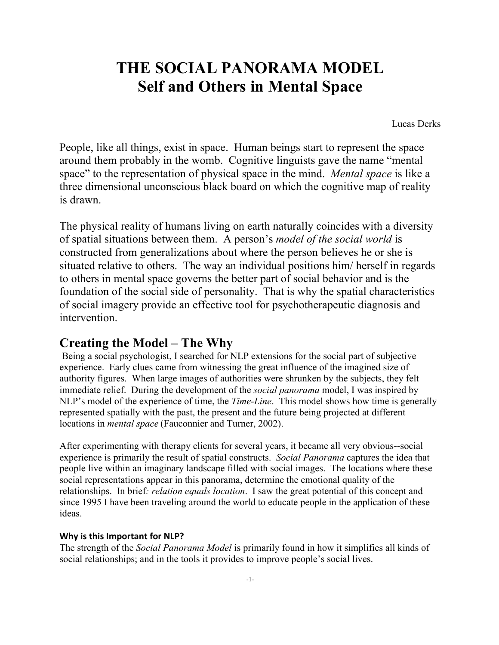# **THE SOCIAL PANORAMA MODEL Self and Others in Mental Space**

Lucas Derks

People, like all things, exist in space. Human beings start to represent the space around them probably in the womb. Cognitive linguists gave the name "mental space" to the representation of physical space in the mind. *Mental space* is like a three dimensional unconscious black board on which the cognitive map of reality is drawn.

The physical reality of humans living on earth naturally coincides with a diversity of spatial situations between them. A person's *model of the social world* is constructed from generalizations about where the person believes he or she is situated relative to others. The way an individual positions him/ herself in regards to others in mental space governs the better part of social behavior and is the foundation of the social side of personality. That is why the spatial characteristics of social imagery provide an effective tool for psychotherapeutic diagnosis and intervention.

### **Creating the Model – The Why**

Being a social psychologist, I searched for NLP extensions for the social part of subjective experience. Early clues came from witnessing the great influence of the imagined size of authority figures. When large images of authorities were shrunken by the subjects, they felt immediate relief. During the development of the *social panorama* model, I was inspired by NLP's model of the experience of time, the *Time-Line*. This model shows how time is generally represented spatially with the past, the present and the future being projected at different locations in *mental space* (Fauconnier and Turner, 2002).

After experimenting with therapy clients for several years, it became all very obvious--social experience is primarily the result of spatial constructs. *Social Panorama* captures the idea that people live within an imaginary landscape filled with social images. The locations where these social representations appear in this panorama, determine the emotional quality of the relationships. In brief*: relation equals location*. I saw the great potential of this concept and since 1995 I have been traveling around the world to educate people in the application of these ideas.

#### **Why is this Important for NLP?**

The strength of the *Social Panorama Model* is primarily found in how it simplifies all kinds of social relationships; and in the tools it provides to improve people's social lives.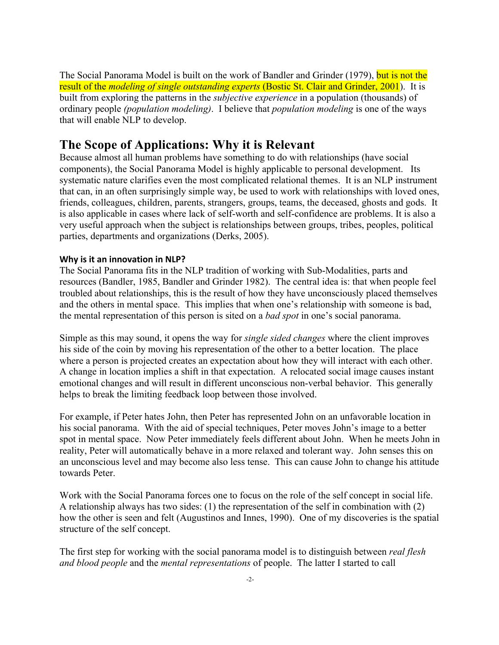The Social Panorama Model is built on the work of Bandler and Grinder (1979), but is not the result of the *modeling of single outstanding experts* (Bostic St. Clair and Grinder, 2001). It is built from exploring the patterns in the *subjective experience* in a population (thousands) of ordinary people *(population modeling)*. I believe that *population modeling* is one of the ways that will enable NLP to develop.

## **The Scope of Applications: Why it is Relevant**

Because almost all human problems have something to do with relationships (have social components), the Social Panorama Model is highly applicable to personal development. Its systematic nature clarifies even the most complicated relational themes. It is an NLP instrument that can, in an often surprisingly simple way, be used to work with relationships with loved ones, friends, colleagues, children, parents, strangers, groups, teams, the deceased, ghosts and gods. It is also applicable in cases where lack of self-worth and self-confidence are problems. It is also a very useful approach when the subject is relationships between groups, tribes, peoples, political parties, departments and organizations (Derks, 2005).

#### **Why is it an innovation in NLP?**

The Social Panorama fits in the NLP tradition of working with Sub-Modalities, parts and resources (Bandler, 1985, Bandler and Grinder 1982). The central idea is: that when people feel troubled about relationships, this is the result of how they have unconsciously placed themselves and the others in mental space. This implies that when one's relationship with someone is bad, the mental representation of this person is sited on a *bad spot* in one's social panorama.

Simple as this may sound, it opens the way for *single sided changes* where the client improves his side of the coin by moving his representation of the other to a better location. The place where a person is projected creates an expectation about how they will interact with each other. A change in location implies a shift in that expectation. A relocated social image causes instant emotional changes and will result in different unconscious non-verbal behavior. This generally helps to break the limiting feedback loop between those involved.

For example, if Peter hates John, then Peter has represented John on an unfavorable location in his social panorama. With the aid of special techniques, Peter moves John's image to a better spot in mental space. Now Peter immediately feels different about John. When he meets John in reality, Peter will automatically behave in a more relaxed and tolerant way. John senses this on an unconscious level and may become also less tense. This can cause John to change his attitude towards Peter.

Work with the Social Panorama forces one to focus on the role of the self concept in social life. A relationship always has two sides: (1) the representation of the self in combination with (2) how the other is seen and felt (Augustinos and Innes, 1990). One of my discoveries is the spatial structure of the self concept.

The first step for working with the social panorama model is to distinguish between *real flesh and blood people* and the *mental representations* of people. The latter I started to call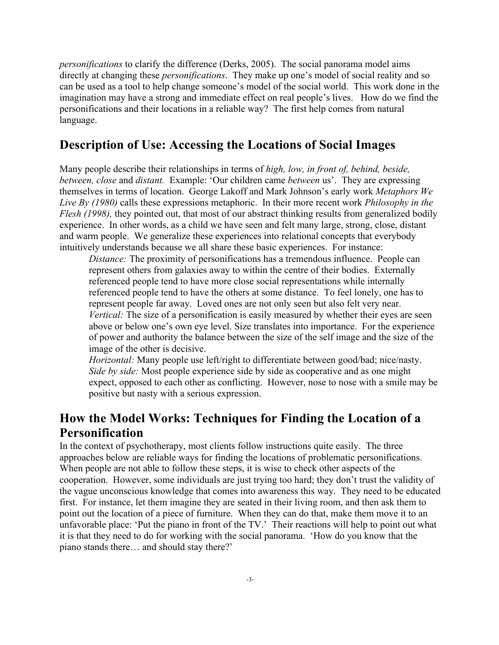*personifications* to clarify the difference (Derks, 2005). The social panorama model aims directly at changing these *personifications*. They make up one's model of social reality and so can be used as a tool to help change someone's model of the social world. This work done in the imagination may have a strong and immediate effect on real people's lives.How do we find the personifications and their locations in a reliable way? The first help comes from natural language.

### **Description of Use: Accessing the Locations of Social Images**

Many people describe their relationships in terms of *high, low, in front of, behind, beside, between, close* and *distant.* Example: 'Our children came *between* us'. They are expressing themselves in terms of location. George Lakoff and Mark Johnson's early work *Metaphors We Live By (1980)* calls these expressions metaphoric. In their more recent work *Philosophy in the Flesh* (1998), they pointed out, that most of our abstract thinking results from generalized bodily experience. In other words, as a child we have seen and felt many large, strong, close, distant and warm people. We generalize these experiences into relational concepts that everybody intuitively understands because we all share these basic experiences. For instance:

*Distance:* The proximity of personifications has a tremendous influence. People can represent others from galaxies away to within the centre of their bodies. Externally referenced people tend to have more close social representations while internally referenced people tend to have the others at some distance. To feel lonely, one has to represent people far away. Loved ones are not only seen but also felt very near. *Vertical:* The size of a personification is easily measured by whether their eyes are seen above or below one's own eye level. Size translates into importance. For the experience of power and authority the balance between the size of the self image and the size of the image of the other is decisive.

*Horizontal:* Many people use left/right to differentiate between good/bad; nice/nasty. *Side by side:* Most people experience side by side as cooperative and as one might expect, opposed to each other as conflicting. However, nose to nose with a smile may be positive but nasty with a serious expression.

## **How the Model Works: Techniques for Finding the Location of a Personification**

In the context of psychotherapy, most clients follow instructions quite easily. The three approaches below are reliable ways for finding the locations of problematic personifications. When people are not able to follow these steps, it is wise to check other aspects of the cooperation. However, some individuals are just trying too hard; they don't trust the validity of the vague unconscious knowledge that comes into awareness this way. They need to be educated first. For instance, let them imagine they are seated in their living room, and then ask them to point out the location of a piece of furniture. When they can do that, make them move it to an unfavorable place: 'Put the piano in front of the TV.' Their reactions will help to point out what it is that they need to do for working with the social panorama. 'How do you know that the piano stands there… and should stay there?'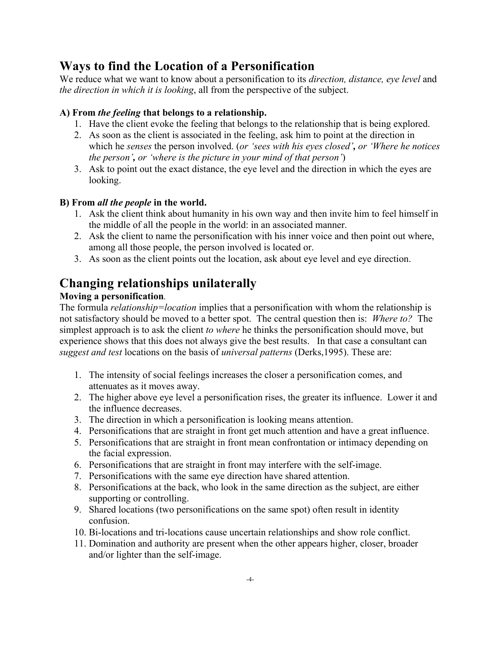## **Ways to find the Location of a Personification**

We reduce what we want to know about a personification to its *direction, distance, eye level* and *the direction in which it is looking*, all from the perspective of the subject.

### **A) From** *the feeling* **that belongs to a relationship.**

- 1. Have the client evoke the feeling that belongs to the relationship that is being explored.
- 2. As soon as the client is associated in the feeling, ask him to point at the direction in which he *senses* the person involved. (*or 'sees with his eyes closed', or 'Where he notices the person', or 'where is the picture in your mind of that person'*)
- 3. Ask to point out the exact distance, the eye level and the direction in which the eyes are looking.

### **B) From** *all the people* **in the world.**

- 1. Ask the client think about humanity in his own way and then invite him to feel himself in the middle of all the people in the world: in an associated manner.
- 2. Ask the client to name the personification with his inner voice and then point out where, among all those people, the person involved is located or.
- 3. As soon as the client points out the location, ask about eye level and eye direction.

## **Changing relationships unilaterally**

### **Moving a personification***.*

The formula *relationship=location* implies that a personification with whom the relationship is not satisfactory should be moved to a better spot. The central question then is: *Where to?* The simplest approach is to ask the client *to where* he thinks the personification should move, but experience shows that this does not always give the best results. In that case a consultant can *suggest and test* locations on the basis of *universal patterns* (Derks,1995). These are:

- 1. The intensity of social feelings increases the closer a personification comes, and attenuates as it moves away.
- 2. The higher above eye level a personification rises, the greater its influence. Lower it and the influence decreases.
- 3. The direction in which a personification is looking means attention.
- 4. Personifications that are straight in front get much attention and have a great influence.
- 5. Personifications that are straight in front mean confrontation or intimacy depending on the facial expression.
- 6. Personifications that are straight in front may interfere with the self-image.
- 7. Personifications with the same eye direction have shared attention.
- 8. Personifications at the back, who look in the same direction as the subject, are either supporting or controlling.
- 9. Shared locations (two personifications on the same spot) often result in identity confusion.
- 10. Bi-locations and tri-locations cause uncertain relationships and show role conflict.
- 11. Domination and authority are present when the other appears higher, closer, broader and/or lighter than the self-image.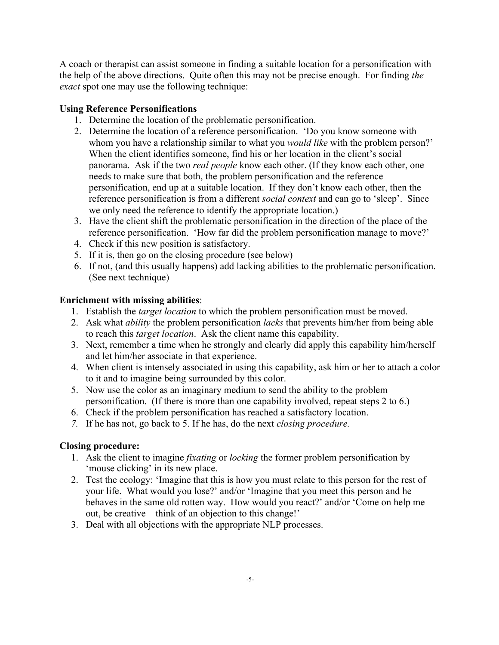A coach or therapist can assist someone in finding a suitable location for a personification with the help of the above directions. Quite often this may not be precise enough. For finding *the exact* spot one may use the following technique:

#### **Using Reference Personifications**

- 1. Determine the location of the problematic personification.
- 2. Determine the location of a reference personification. 'Do you know someone with whom you have a relationship similar to what you *would like* with the problem person?' When the client identifies someone, find his or her location in the client's social panorama. Ask if the two *real people* know each other. (If they know each other, one needs to make sure that both, the problem personification and the reference personification, end up at a suitable location. If they don't know each other, then the reference personification is from a different *social context* and can go to 'sleep'. Since we only need the reference to identify the appropriate location.)
- 3. Have the client shift the problematic personification in the direction of the place of the reference personification. 'How far did the problem personification manage to move?'
- 4. Check if this new position is satisfactory.
- 5. If it is, then go on the closing procedure (see below)
- 6. If not, (and this usually happens) add lacking abilities to the problematic personification. (See next technique)

### **Enrichment with missing abilities**:

- 1. Establish the *target location* to which the problem personification must be moved.
- 2. Ask what *ability* the problem personification *lacks* that prevents him/her from being able to reach this *target location*. Ask the client name this capability.
- 3. Next, remember a time when he strongly and clearly did apply this capability him/herself and let him/her associate in that experience.
- 4. When client is intensely associated in using this capability, ask him or her to attach a color to it and to imagine being surrounded by this color.
- 5. Now use the color as an imaginary medium to send the ability to the problem personification. (If there is more than one capability involved, repeat steps 2 to 6.)
- 6. Check if the problem personification has reached a satisfactory location.
- *7.* If he has not, go back to 5. If he has, do the next *closing procedure.*

### **Closing procedure:**

- 1. Ask the client to imagine *fixating* or *locking* the former problem personification by 'mouse clicking' in its new place.
- 2. Test the ecology: 'Imagine that this is how you must relate to this person for the rest of your life. What would you lose?' and/or 'Imagine that you meet this person and he behaves in the same old rotten way. How would you react?' and/or 'Come on help me out, be creative – think of an objection to this change!'
- 3. Deal with all objections with the appropriate NLP processes.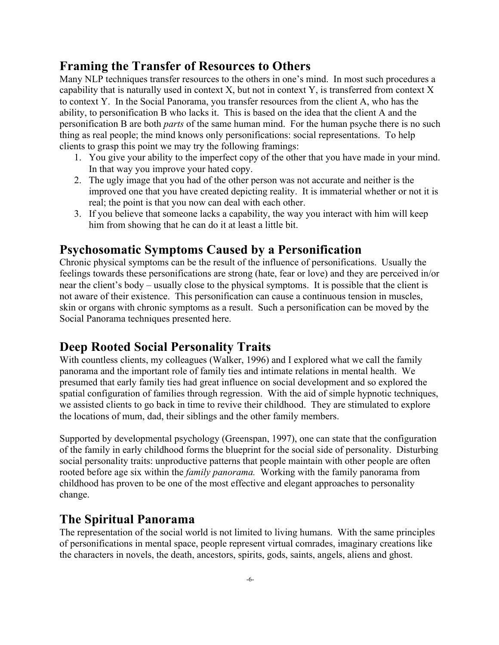### **Framing the Transfer of Resources to Others**

Many NLP techniques transfer resources to the others in one's mind. In most such procedures a capability that is naturally used in context X, but not in context Y, is transferred from context X to context Y. In the Social Panorama, you transfer resources from the client A, who has the ability, to personification B who lacks it. This is based on the idea that the client A and the personification B are both *parts* of the same human mind. For the human psyche there is no such thing as real people; the mind knows only personifications: social representations. To help clients to grasp this point we may try the following framings:

- 1. You give your ability to the imperfect copy of the other that you have made in your mind. In that way you improve your hated copy.
- 2. The ugly image that you had of the other person was not accurate and neither is the improved one that you have created depicting reality. It is immaterial whether or not it is real; the point is that you now can deal with each other.
- 3. If you believe that someone lacks a capability, the way you interact with him will keep him from showing that he can do it at least a little bit.

## **Psychosomatic Symptoms Caused by a Personification**

Chronic physical symptoms can be the result of the influence of personifications. Usually the feelings towards these personifications are strong (hate, fear or love) and they are perceived in/or near the client's body – usually close to the physical symptoms. It is possible that the client is not aware of their existence. This personification can cause a continuous tension in muscles, skin or organs with chronic symptoms as a result. Such a personification can be moved by the Social Panorama techniques presented here.

## **Deep Rooted Social Personality Traits**

With countless clients, my colleagues (Walker, 1996) and I explored what we call the family panorama and the important role of family ties and intimate relations in mental health. We presumed that early family ties had great influence on social development and so explored the spatial configuration of families through regression. With the aid of simple hypnotic techniques, we assisted clients to go back in time to revive their childhood. They are stimulated to explore the locations of mum, dad, their siblings and the other family members.

Supported by developmental psychology (Greenspan, 1997), one can state that the configuration of the family in early childhood forms the blueprint for the social side of personality. Disturbing social personality traits: unproductive patterns that people maintain with other people are often rooted before age six within the *family panorama.* Working with the family panorama from childhood has proven to be one of the most effective and elegant approaches to personality change.

### **The Spiritual Panorama**

The representation of the social world is not limited to living humans. With the same principles of personifications in mental space, people represent virtual comrades, imaginary creations like the characters in novels, the death, ancestors, spirits, gods, saints, angels, aliens and ghost.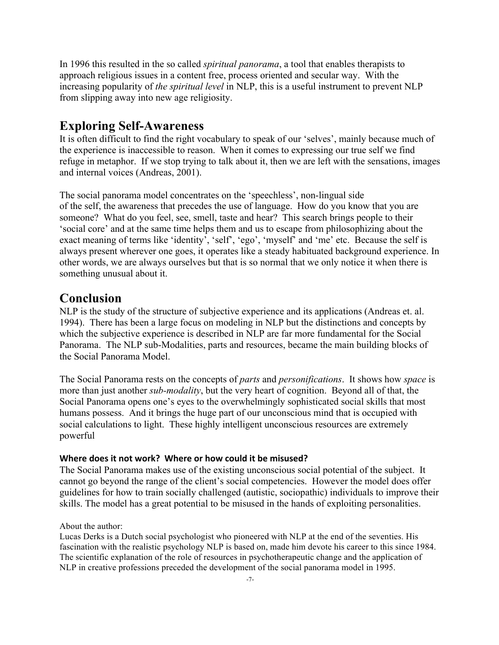In 1996 this resulted in the so called *spiritual panorama*, a tool that enables therapists to approach religious issues in a content free, process oriented and secular way. With the increasing popularity of *the spiritual level* in NLP, this is a useful instrument to prevent NLP from slipping away into new age religiosity.

### **Exploring Self-Awareness**

It is often difficult to find the right vocabulary to speak of our 'selves', mainly because much of the experience is inaccessible to reason. When it comes to expressing our true self we find refuge in metaphor. If we stop trying to talk about it, then we are left with the sensations, images and internal voices (Andreas, 2001).

The social panorama model concentrates on the 'speechless', non-lingual side of the self, the awareness that precedes the use of language. How do you know that you are someone? What do you feel, see, smell, taste and hear? This search brings people to their 'social core' and at the same time helps them and us to escape from philosophizing about the exact meaning of terms like 'identity', 'self', 'ego', 'myself' and 'me' etc. Because the self is always present wherever one goes, it operates like a steady habituated background experience. In other words, we are always ourselves but that is so normal that we only notice it when there is something unusual about it.

### **Conclusion**

NLP is the study of the structure of subjective experience and its applications (Andreas et. al. 1994). There has been a large focus on modeling in NLP but the distinctions and concepts by which the subjective experience is described in NLP are far more fundamental for the Social Panorama. The NLP sub-Modalities, parts and resources, became the main building blocks of the Social Panorama Model.

The Social Panorama rests on the concepts of *parts* and *personifications*. It shows how *space* is more than just another *sub-modality*, but the very heart of cognition. Beyond all of that, the Social Panorama opens one's eyes to the overwhelmingly sophisticated social skills that most humans possess. And it brings the huge part of our unconscious mind that is occupied with social calculations to light. These highly intelligent unconscious resources are extremely powerful

#### **Where does it not work? Where or how could it be misused?**

The Social Panorama makes use of the existing unconscious social potential of the subject. It cannot go beyond the range of the client's social competencies. However the model does offer guidelines for how to train socially challenged (autistic, sociopathic) individuals to improve their skills. The model has a great potential to be misused in the hands of exploiting personalities.

#### About the author:

Lucas Derks is a Dutch social psychologist who pioneered with NLP at the end of the seventies. His fascination with the realistic psychology NLP is based on, made him devote his career to this since 1984. The scientific explanation of the role of resources in psychotherapeutic change and the application of NLP in creative professions preceded the development of the social panorama model in 1995.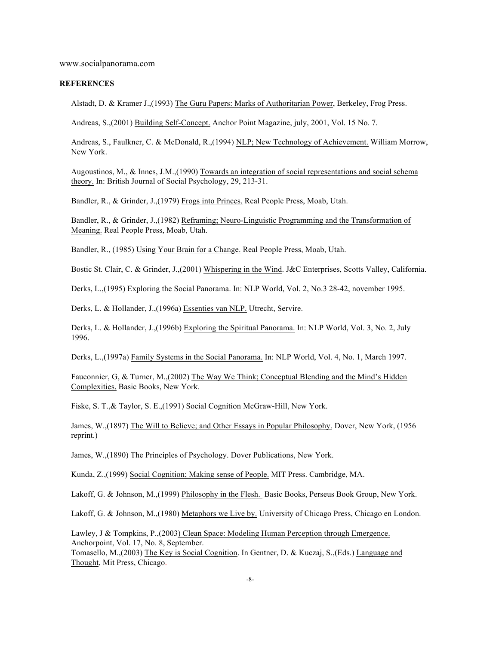www.socialpanorama.com

#### **REFERENCES**

Alstadt, D. & Kramer J.,(1993) The Guru Papers: Marks of Authoritarian Power, Berkeley, Frog Press.

Andreas, S.,(2001) Building Self-Concept. Anchor Point Magazine, july, 2001, Vol. 15 No. 7.

Andreas, S., Faulkner, C. & McDonald, R.,(1994) NLP; New Technology of Achievement. William Morrow, New York.

Augoustinos, M., & Innes, J.M.,(1990) Towards an integration of social representations and social schema theory. In: British Journal of Social Psychology, 29, 213-31.

Bandler, R., & Grinder, J.,(1979) Frogs into Princes. Real People Press, Moab, Utah.

Bandler, R., & Grinder, J.,(1982) Reframing; Neuro-Linguistic Programming and the Transformation of Meaning. Real People Press, Moab, Utah.

Bandler, R., (1985) Using Your Brain for a Change. Real People Press, Moab, Utah.

Bostic St. Clair, C. & Grinder, J.,(2001) Whispering in the Wind. J&C Enterprises, Scotts Valley, California.

Derks, L.,(1995) Exploring the Social Panorama. In: NLP World, Vol. 2, No.3 28-42, november 1995.

Derks, L. & Hollander, J.,(1996a) Essenties van NLP. Utrecht, Servire.

Derks, L. & Hollander, J.,(1996b) Exploring the Spiritual Panorama. In: NLP World, Vol. 3, No. 2, July 1996.

Derks, L.,(1997a) Family Systems in the Social Panorama. In: NLP World, Vol. 4, No. 1, March 1997.

Fauconnier, G, & Turner, M.,(2002) The Way We Think; Conceptual Blending and the Mind's Hidden Complexities. Basic Books, New York.

Fiske, S. T.,& Taylor, S. E.,(1991) Social Cognition McGraw-Hill, New York.

James, W.,(1897) The Will to Believe; and Other Essays in Popular Philosophy. Dover, New York, (1956 reprint.)

James, W.,(1890) The Principles of Psychology. Dover Publications, New York.

Kunda, Z.,(1999) Social Cognition; Making sense of People. MIT Press. Cambridge, MA.

Lakoff, G. & Johnson, M.,(1999) Philosophy in the Flesh. Basic Books, Perseus Book Group, New York.

Lakoff, G. & Johnson, M.,(1980) Metaphors we Live by. University of Chicago Press, Chicago en London.

Lawley, J & Tompkins, P.,(2003) Clean Space: Modeling Human Perception through Emergence. Anchorpoint, Vol. 17, No. 8, September.

Tomasello, M.,(2003) The Key is Social Cognition. In Gentner, D. & Kuczaj, S.,(Eds.) Language and Thought, Mit Press, Chicago.